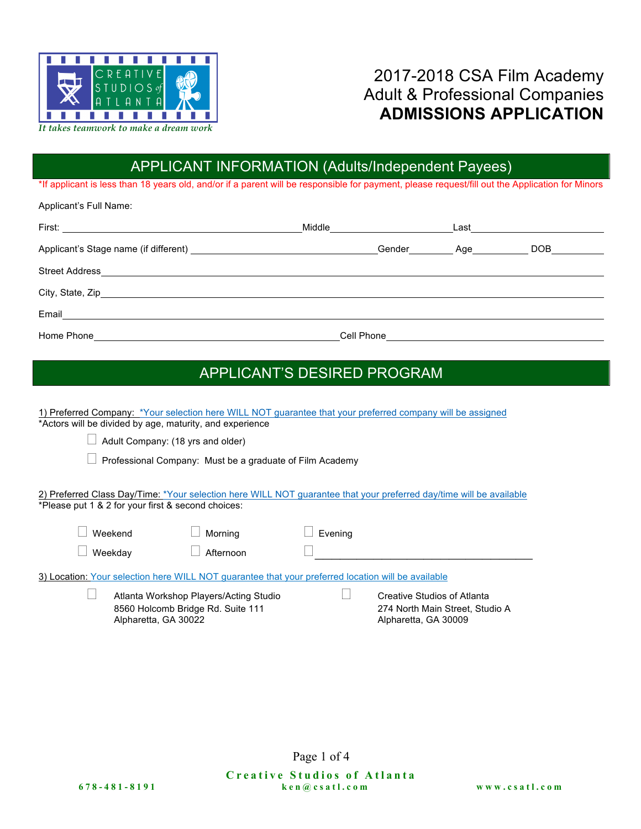

### 2017-2018 CSA Film Academy Adult & Professional Companies **ADMISSIONS APPLICATION**

# APPLICANT INFORMATION (Adults/Independent Payees)

\*If applicant is less than 18 years old, and/or if a parent will be responsible for payment, please request/fill out the Application for Minors

Applicant's Full Name:

|                               | Middle <u>______________</u>                  | Last the contract of the contract of the contract of the contract of the contract of the contract of the contract of the contract of the contract of the contract of the contract of the contract of the contract of the contr |
|-------------------------------|-----------------------------------------------|--------------------------------------------------------------------------------------------------------------------------------------------------------------------------------------------------------------------------------|
|                               | Gender                                        | Age___________                                                                                                                                                                                                                 |
|                               |                                               |                                                                                                                                                                                                                                |
|                               |                                               |                                                                                                                                                                                                                                |
|                               |                                               |                                                                                                                                                                                                                                |
| Home Phone <b>Figure 2018</b> | Cell Phone <u>___________________________</u> |                                                                                                                                                                                                                                |

#### APPLICANT'S DESIRED PROGRAM

| 1) Preferred Company: *Your selection here WILL NOT guarantee that your preferred company will be assigned<br>*Actors will be divided by age, maturity, and experience    |                                                                                        |  |  |  |
|---------------------------------------------------------------------------------------------------------------------------------------------------------------------------|----------------------------------------------------------------------------------------|--|--|--|
| Adult Company: (18 yrs and older)                                                                                                                                         |                                                                                        |  |  |  |
| Professional Company: Must be a graduate of Film Academy                                                                                                                  |                                                                                        |  |  |  |
| 2) Preferred Class Day/Time: *Your selection here WILL NOT guarantee that your preferred day/time will be available<br>*Please put 1 & 2 for your first & second choices: |                                                                                        |  |  |  |
| Weekend<br>Morning                                                                                                                                                        | Evening                                                                                |  |  |  |
| Weekday<br>Afternoon                                                                                                                                                      |                                                                                        |  |  |  |
| 3) Location: Your selection here WILL NOT guarantee that your preferred location will be available                                                                        |                                                                                        |  |  |  |
| Atlanta Workshop Players/Acting Studio<br>8560 Holcomb Bridge Rd. Suite 111<br>Alpharetta, GA 30022                                                                       | Creative Studios of Atlanta<br>274 North Main Street, Studio A<br>Alpharetta, GA 30009 |  |  |  |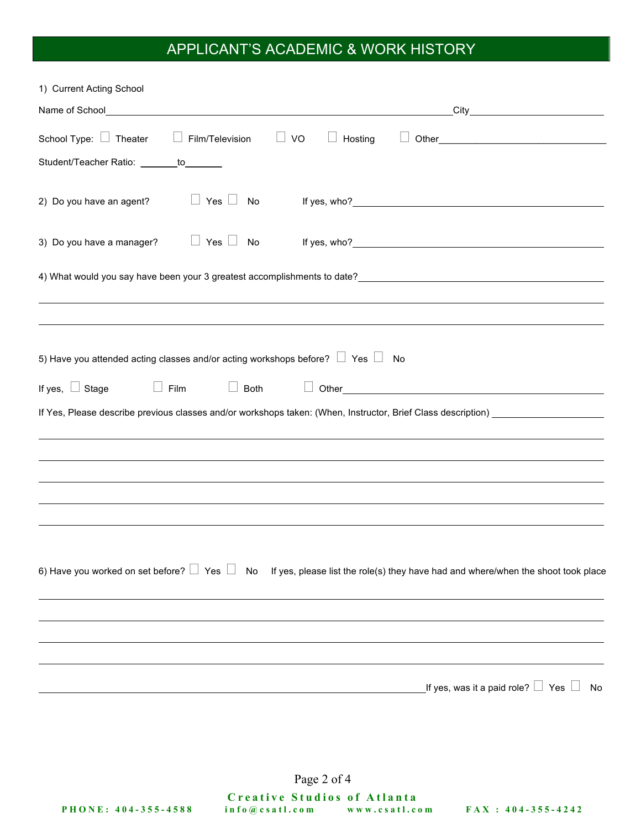## APPLICANT'S ACADEMIC & WORK HISTORY

| 1) Current Acting School                                                                                                                |  |  |  |  |
|-----------------------------------------------------------------------------------------------------------------------------------------|--|--|--|--|
|                                                                                                                                         |  |  |  |  |
| School Type: $\Box$ Theater<br>$\Box$ Film/Television<br>VO<br>Hosting<br>$\Box$                                                        |  |  |  |  |
| Student/Teacher Ratio: _______to_______                                                                                                 |  |  |  |  |
| $\Box$ Yes $\Box$<br>2) Do you have an agent?<br>No                                                                                     |  |  |  |  |
| 3) Do you have a manager?<br>$\Box$ Yes $\Box$<br>No                                                                                    |  |  |  |  |
|                                                                                                                                         |  |  |  |  |
|                                                                                                                                         |  |  |  |  |
|                                                                                                                                         |  |  |  |  |
| 5) Have you attended acting classes and/or acting workshops before? $\Box$ Yes $\Box$ No                                                |  |  |  |  |
| If yes, $\Box$ Stage<br>Film<br>Both                                                                                                    |  |  |  |  |
| If Yes, Please describe previous classes and/or workshops taken: (When, Instructor, Brief Class description) __________________________ |  |  |  |  |
|                                                                                                                                         |  |  |  |  |
|                                                                                                                                         |  |  |  |  |
|                                                                                                                                         |  |  |  |  |
|                                                                                                                                         |  |  |  |  |
|                                                                                                                                         |  |  |  |  |
| 6) Have you worked on set before? Ves No<br>If yes, please list the role(s) they have had and where/when the shoot took place           |  |  |  |  |
|                                                                                                                                         |  |  |  |  |
|                                                                                                                                         |  |  |  |  |
|                                                                                                                                         |  |  |  |  |
| _If yes, was it a paid role? $\Box\,$ Yes $\,\Box\,$<br>No                                                                              |  |  |  |  |

Page 2 of 4

**Creative Studios of Atlanta PHONE: 404 - 355 - 4588 info@csatl.com www.csatl.com FAX : 404 - 355 - 4242**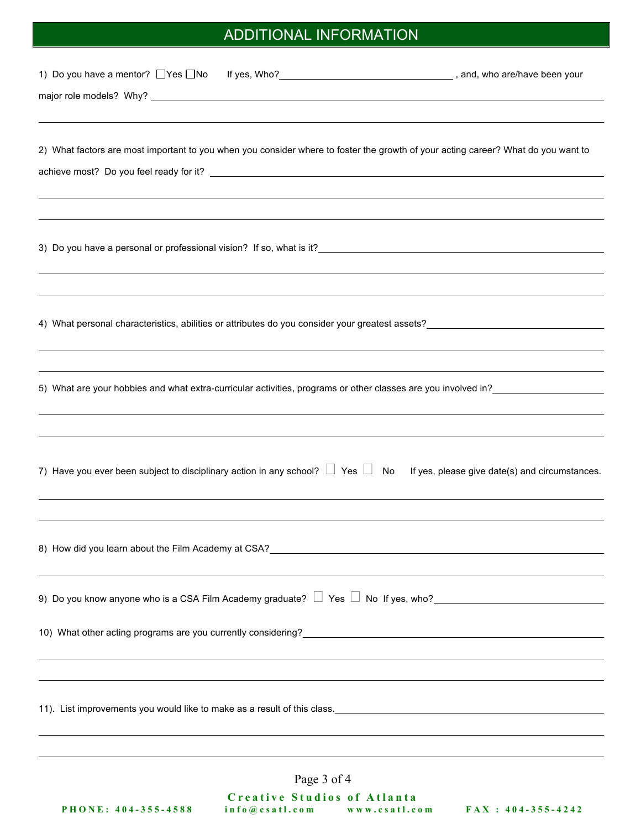# ADDITIONAL INFORMATION

| 1) Do you have a mentor? UYes UNo If yes, Who? _________________________________, and, who are/have been your                                                                  |                                                                    |                                                |
|--------------------------------------------------------------------------------------------------------------------------------------------------------------------------------|--------------------------------------------------------------------|------------------------------------------------|
|                                                                                                                                                                                |                                                                    |                                                |
| 2) What factors are most important to you when you consider where to foster the growth of your acting career? What do you want to                                              |                                                                    |                                                |
|                                                                                                                                                                                |                                                                    |                                                |
|                                                                                                                                                                                |                                                                    |                                                |
| 4) What personal characteristics, abilities or attributes do you consider your greatest assets?                                                                                |                                                                    |                                                |
|                                                                                                                                                                                |                                                                    |                                                |
| 7) Have you ever been subject to disciplinary action in any school? $\Box$ Yes $\Box$ No                                                                                       |                                                                    | If yes, please give date(s) and circumstances. |
|                                                                                                                                                                                |                                                                    |                                                |
|                                                                                                                                                                                |                                                                    |                                                |
| 10) What other acting programs are you currently considering?<br>2010 Monton December 2020 Monton December 2021 Monton December 2021 Monton December 2021 Monton December 2021 |                                                                    |                                                |
|                                                                                                                                                                                |                                                                    |                                                |
|                                                                                                                                                                                | Page 3 of 4                                                        |                                                |
| PHONE: 404-355-4588                                                                                                                                                            | <b>Creative Studios of Atlanta</b><br>info@csatl.com www.csatl.com | $FAX : 404 - 355 - 4242$                       |